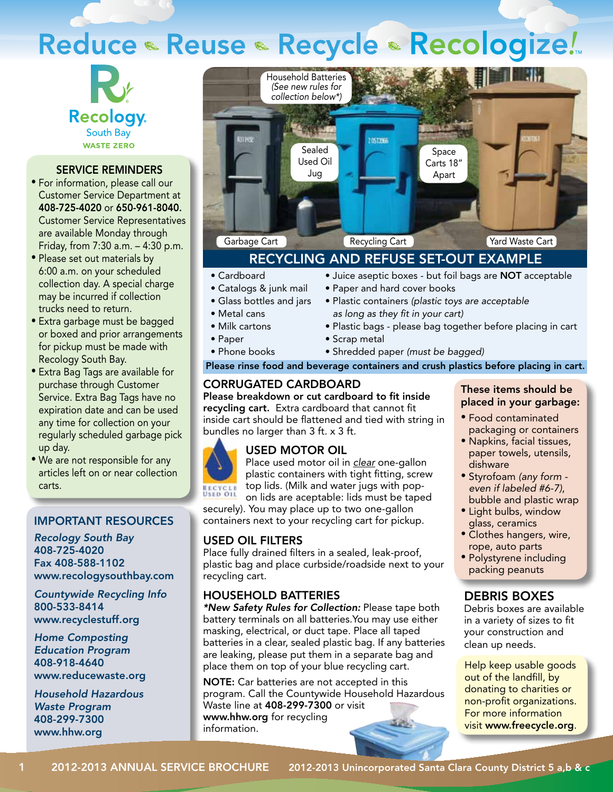# Reduce • Reuse • Recycle • Recologize!



#### SERVICE REMINDERS

- For information, please call our Customer Service Department at 408-725-4020 or 650-961-8040. Customer Service Representatives are available Monday through Friday, from 7:30 a.m. – 4:30 p.m.
- Please set out materials by 6:00 a.m. on your scheduled collection day. A special charge may be incurred if collection trucks need to return.
- Extra garbage must be bagged or boxed and prior arrangements for pickup must be made with Recology South Bay.
- Extra Bag Tags are available for purchase through Customer Service. Extra Bag Tags have no expiration date and can be used any time for collection on your regularly scheduled garbage pick up day.
- We are not responsible for any articles left on or near collection carts.

#### Important Resources

*Recology South Bay* 408-725-4020 Fax 408-588-1102 www.recologysouthbay.com

*Countywide Recycling Info* 800-533-8414 www.recyclestuff.org

*Home Composting Education Program* 408-918-4640 www.reducewaste.org

*Household Hazardous Waste Program* 408-299-7300 www.hhw.org



## RECYCLING AND REFUSE SET-OUT EXAMPLE

• Paper and hard cover books

#### • Cardboard

- Catalogs & junk mail
- Glass bottles and jars
- Metal cans
- Milk cartons
- Paper
- Phone books
	-
- Plastic containers *(plastic toys are acceptable*

• Juice aseptic boxes - but foil bags are NOT acceptable

- *as long as they fit in your cart)*
- Plastic bags please bag together before placing in cart
- Scrap metal
- Shredded paper *(must be bagged)*

#### Please rinse food and beverage containers and crush plastics before placing in cart.

#### CORRUGATED CARDBOARD

Please breakdown or cut cardboard to fit inside recycling cart. Extra cardboard that cannot fit inside cart should be flattened and tied with string in bundles no larger than 3 ft. x 3 ft.

## USED MOTOR OIL

Place used motor oil in *clear* one-gallon plastic containers with tight fitting, screw top lids. (Milk and water jugs with popon lids are aceptable: lids must be taped

securely). You may place up to two one-gallon containers next to your recycling cart for pickup.

#### USED OIL FILTERS

Place fully drained filters in a sealed, leak-proof, plastic bag and place curbside/roadside next to your recycling cart.

#### HOUSEHOLD BATTERIES

*\*New Safety Rules for Collection:* Please tape both battery terminals on all batteries.You may use either masking, electrical, or duct tape. Place all taped batteries in a clear, sealed plastic bag. If any batteries are leaking, please put them in a separate bag and place them on top of your blue recycling cart.

NOTE: Car batteries are not accepted in this program. Call the Countywide Household Hazardous Waste line at 408-299-7300 or visit www.hhw.org for recycling information.

#### These items should be placed in your garbage:

- Food contaminated packaging or containers
- Napkins, facial tissues, paper towels, utensils, dishware
- Styrofoam *(any form even if labeled #6-7)*, bubble and plastic wrap
- Light bulbs, window glass, ceramics
- Clothes hangers, wire, rope, auto parts
- Polystyrene including packing peanuts

#### DEBRIS BOXES

Debris boxes are available in a variety of sizes to fit your construction and clean up needs.

Help keep usable goods out of the landfill, by donating to charities or non-profit organizations. For more information visit www.freecycle.org.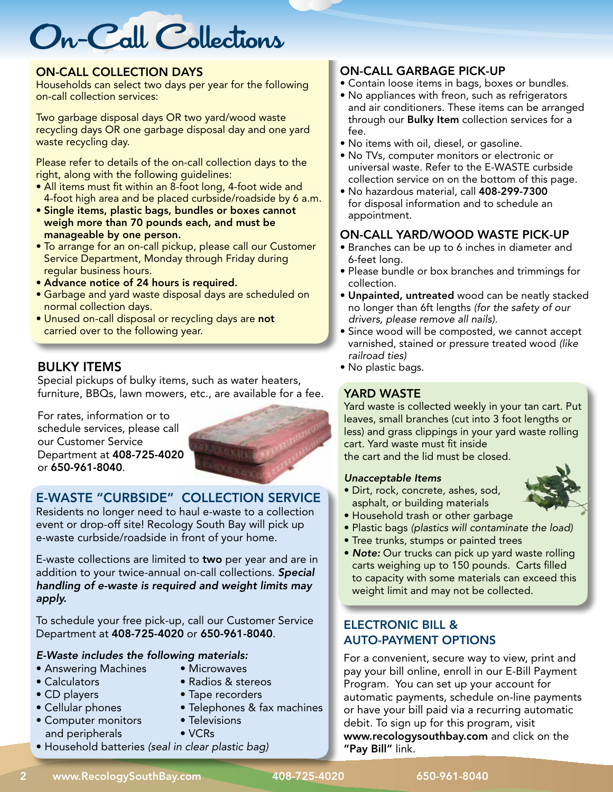# On-Call Collections

#### On-Call CollectioN DAYS

Households can select two days per year for the following on-call collection services:

Two garbage disposal days OR two yard/wood waste recycling days OR one garbage disposal day and one yard waste recycling day.

Please refer to details of the on-call collection days to the right, along with the following guidelines:

- All items must fit within an 8-foot long, 4-foot wide and 4-foot high area and be placed curbside/roadside by 6 a.m.
- Single items, plastic bags, bundles or boxes cannot weigh more than 70 pounds each, and must be manageable by one person.
- To arrange for an on-call pickup, please call our Customer Service Department, Monday through Friday during regular business hours.
- Advance notice of 24 hours is required.
- Garbage and yard waste disposal days are scheduled on normal collection days.
- Unused on-call disposal or recycling days are not carried over to the following year.

## BULKY ITEMS

Special pickups of bulky items, such as water heaters, furniture, BBQs, lawn mowers, etc., are available for a fee.

For rates, information or to schedule services, please call our Customer Service Department at 408-725-4020 or 650-961-8040.



## E-WASTE "CURBSIDE" COLLECTION SERVICE

Residents no longer need to haul e-waste to a collection event or drop-off site! Recology South Bay will pick up e-waste curbside/roadside in front of your home.

E-waste collections are limited to two per year and are in addition to your twice-annual on-call collections. *Special handling of e-waste is required and weight limits may apply.*

To schedule your free pick-up, call our Customer Service Department at 408-725-4020 or 650-961-8040.

#### *E-Waste includes the following materials:*

- Answering Machines Microwaves
- 
- 
- Calculators Radios & stereos
- CD players Tape recorders
- Cellular phones Telephones & fax machines
- Computer monitors Televisions and peripherals • VCRs
	-
- Household batteries *(seal in clear plastic bag)*

## On-Call Garbage Pick-Up

- Contain loose items in bags, boxes or bundles.
- No appliances with freon, such as refrigerators and air conditioners. These items can be arranged through our **Bulky Item** collection services for a fee.
- No items with oil, diesel, or gasoline.
- No TVs, computer monitors or electronic or universal waste. Refer to the E-WASTE curbside collection service on on the bottom of this page.
- No hazardous material, call 408-299-7300 for disposal information and to schedule an appointment.

## On-Call Yard/WOOD Waste Pick-Up

- Branches can be up to 6 inches in diameter and 6-feet long.
- Please bundle or box branches and trimmings for collection.
- Unpainted, untreated wood can be neatly stacked no longer than 6ft lengths *(for the safety of our drivers, please remove all nails).*
- Since wood will be composted, we cannot accept varnished, stained or pressure treated wood *(like railroad ties)*
- No plastic bags.

### YARD WASTE

Yard waste is collected weekly in your tan cart. Put leaves, small branches (cut into 3 foot lengths or less) and grass clippings in your yard waste rolling cart. Yard waste must fit inside the cart and the lid must be closed.

#### *Unacceptable Items*

• Dirt, rock, concrete, ashes, sod, asphalt, or building materials



- Household trash or other garbage
- Plastic bags *(plastics will contaminate the load)*
- Tree trunks, stumps or painted trees
- *Note:* Our trucks can pick up yard waste rolling carts weighing up to 150 pounds. Carts filled to capacity with some materials can exceed this weight limit and may not be collected.

## ELECTRONIC BILL & AUTO-PAYMENT OPTIONS

For a convenient, secure way to view, print and pay your bill online, enroll in our E-Bill Payment Program. You can set up your account for automatic payments, schedule on-line payments or have your bill paid via a recurring automatic debit. To sign up for this program, visit www.recologysouthbay.com and click on the "Pay Bill" link.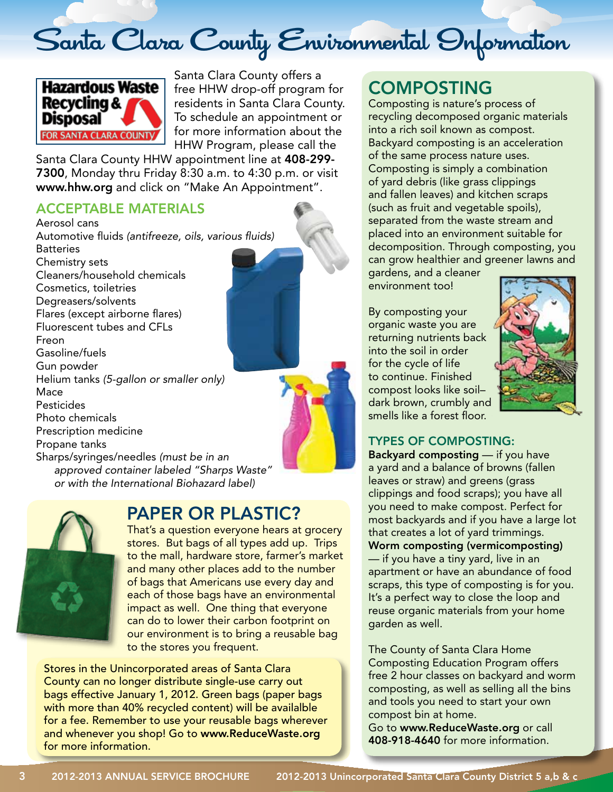# Santa Clara County Environmental Information



Santa Clara County offers a free HHW drop-off program for residents in Santa Clara County. To schedule an appointment or for more information about the HHW Program, please call the

Santa Clara County HHW appointment line at 408-299- 7300, Monday thru Friday 8:30 a.m. to 4:30 p.m. or visit www.hhw.org and click on "Make An Appointment".

## ACCEPTABLE MATERIALS

Aerosol cans Automotive fluids *(antifreeze, oils, various fluids)* **Batteries** Chemistry sets Cleaners/household chemicals Cosmetics, toiletries Degreasers/solvents Flares (except airborne flares) Fluorescent tubes and CFLs Freon Gasoline/fuels Gun powder Helium tanks *(5-gallon or smaller only)* Mace Pesticides Photo chemicals Prescription medicine Propane tanks Sharps/syringes/needles *(must be in an approved container labeled "Sharps Waste" or with the International Biohazard label)*



## PAPER OR PLASTIC?

That's a question everyone hears at grocery stores. But bags of all types add up. Trips to the mall, hardware store, farmer's market and many other places add to the number of bags that Americans use every day and each of those bags have an environmental impact as well. One thing that everyone can do to lower their carbon footprint on our environment is to bring a reusable bag to the stores you frequent.

Stores in the Unincorporated areas of Santa Clara County can no longer distribute single-use carry out bags effective January 1, 2012. Green bags (paper bags with more than 40% recycled content) will be availalble for a fee. Remember to use your reusable bags wherever and whenever you shop! Go to www.ReduceWaste.org for more information.

## COMPOSTING

Composting is nature's process of recycling decomposed organic materials into a rich soil known as compost. Backyard composting is an acceleration of the same process nature uses. Composting is simply a combination of yard debris (like grass clippings and fallen leaves) and kitchen scraps (such as fruit and vegetable spoils), separated from the waste stream and placed into an environment suitable for decomposition. Through composting, you can grow healthier and greener lawns and

gardens, and a cleaner environment too!

By composting your organic waste you are returning nutrients back into the soil in order for the cycle of life to continue. Finished compost looks like soil– dark brown, crumbly and smells like a forest floor.



## Types of composting:

Backyard composting — if you have a yard and a balance of browns (fallen leaves or straw) and greens (grass clippings and food scraps); you have all you need to make compost. Perfect for most backyards and if you have a large lot that creates a lot of yard trimmings. Worm composting (vermicomposting) — if you have a tiny yard, live in an apartment or have an abundance of food scraps, this type of composting is for you. It's a perfect way to close the loop and reuse organic materials from your home garden as well.

The County of Santa Clara Home Composting Education Program offers free 2 hour classes on backyard and worm composting, as well as selling all the bins and tools you need to start your own compost bin at home.

Go to www.ReduceWaste.org or call 408-918-4640 for more information.